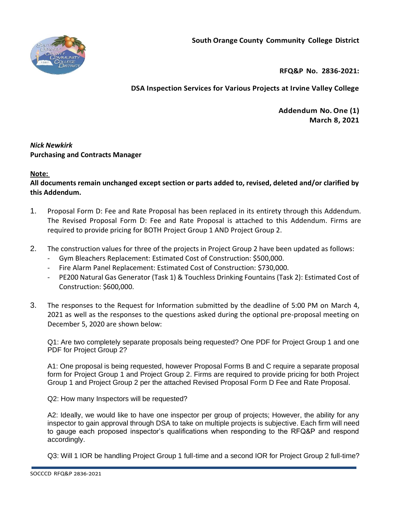



**RFQ&P No. 2836-2021:** 

**DSA Inspection Services for Various Projects at Irvine Valley College**

**Addendum No.One (1) March 8, 2021**

# *Nick Newkirk*  **Purchasing and Contracts Manager**

# **Note:**

**All documents remain unchanged except section or parts added to, revised, deleted and/or clarified by this Addendum.**

- 1. Proposal Form D: Fee and Rate Proposal has been replaced in its entirety through this Addendum. The Revised Proposal Form D: Fee and Rate Proposal is attached to this Addendum. Firms are required to provide pricing for BOTH Project Group 1 AND Project Group 2.
- 2. The construction values for three of the projects in Project Group 2 have been updated as follows:
	- Gym Bleachers Replacement: Estimated Cost of Construction: \$500,000.
	- Fire Alarm Panel Replacement: Estimated Cost of Construction: \$730,000.
	- PE200 Natural Gas Generator (Task 1) & Touchless Drinking Fountains (Task 2): Estimated Cost of Construction: \$600,000.
- 3. The responses to the Request for Information submitted by the deadline of 5:00 PM on March 4, 2021 as well as the responses to the questions asked during the optional pre-proposal meeting on December 5, 2020 are shown below:

Q1: Are two completely separate proposals being requested? One PDF for Project Group 1 and one PDF for Project Group 2?

A1: One proposal is being requested, however Proposal Forms B and C require a separate proposal form for Project Group 1 and Project Group 2. Firms are required to provide pricing for both Project Group 1 and Project Group 2 per the attached Revised Proposal Form D Fee and Rate Proposal.

Q2: How many Inspectors will be requested?

A2: Ideally, we would like to have one inspector per group of projects; However, the ability for any inspector to gain approval through DSA to take on multiple projects is subjective. Each firm will need to gauge each proposed inspector's qualifications when responding to the RFQ&P and respond accordingly.

Q3: Will 1 IOR be handling Project Group 1 full-time and a second IOR for Project Group 2 full-time?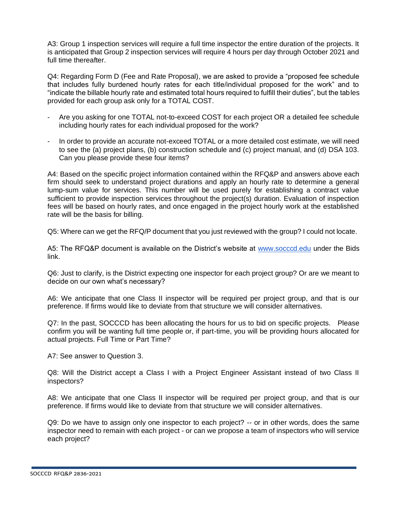A3: Group 1 inspection services will require a full time inspector the entire duration of the projects. It is anticipated that Group 2 inspection services will require 4 hours per day through October 2021 and full time thereafter.

Q4: Regarding Form D (Fee and Rate Proposal), we are asked to provide a "proposed fee schedule that includes fully burdened hourly rates for each title/individual proposed for the work" and to "indicate the billable hourly rate and estimated total hours required to fulfill their duties", but the tables provided for each group ask only for a TOTAL COST.

- Are you asking for one TOTAL not-to-exceed COST for each project OR a detailed fee schedule including hourly rates for each individual proposed for the work?
- In order to provide an accurate not-exceed TOTAL or a more detailed cost estimate, we will need to see the (a) project plans, (b) construction schedule and (c) project manual, and (d) DSA 103. Can you please provide these four items?

A4: Based on the specific project information contained within the RFQ&P and answers above each firm should seek to understand project durations and apply an hourly rate to determine a general lump-sum value for services. This number will be used purely for establishing a contract value sufficient to provide inspection services throughout the project(s) duration. Evaluation of inspection fees will be based on hourly rates, and once engaged in the project hourly work at the established rate will be the basis for billing.

Q5: Where can we get the RFQ/P document that you just reviewed with the group? I could not locate.

A5: The RFQ&P document is available on the District's website at [www.socccd.edu](http://www.socccd.edu/) under the Bids link.

Q6: Just to clarify, is the District expecting one inspector for each project group? Or are we meant to decide on our own what's necessary?

A6: We anticipate that one Class II inspector will be required per project group, and that is our preference. If firms would like to deviate from that structure we will consider alternatives.

Q7: In the past, SOCCCD has been allocating the hours for us to bid on specific projects. Please confirm you will be wanting full time people or, if part-time, you will be providing hours allocated for actual projects. Full Time or Part Time?

A7: See answer to Question 3.

Q8: Will the District accept a Class I with a Project Engineer Assistant instead of two Class II inspectors?

A8: We anticipate that one Class II inspector will be required per project group, and that is our preference. If firms would like to deviate from that structure we will consider alternatives.

Q9: Do we have to assign only one inspector to each project? -- or in other words, does the same inspector need to remain with each project - or can we propose a team of inspectors who will service each project?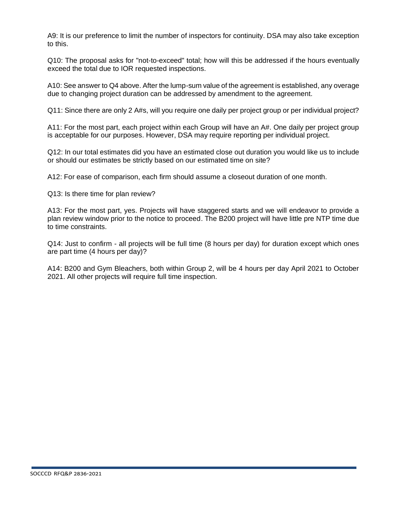A9: It is our preference to limit the number of inspectors for continuity. DSA may also take exception to this.

Q10: The proposal asks for "not-to-exceed" total; how will this be addressed if the hours eventually exceed the total due to IOR requested inspections.

A10: See answer to Q4 above. After the lump-sum value of the agreement is established, any overage due to changing project duration can be addressed by amendment to the agreement.

Q11: Since there are only 2 A#s, will you require one daily per project group or per individual project?

A11: For the most part, each project within each Group will have an A#. One daily per project group is acceptable for our purposes. However, DSA may require reporting per individual project.

Q12: In our total estimates did you have an estimated close out duration you would like us to include or should our estimates be strictly based on our estimated time on site?

A12: For ease of comparison, each firm should assume a closeout duration of one month.

Q13: Is there time for plan review?

A13: For the most part, yes. Projects will have staggered starts and we will endeavor to provide a plan review window prior to the notice to proceed. The B200 project will have little pre NTP time due to time constraints.

Q14: Just to confirm - all projects will be full time (8 hours per day) for duration except which ones are part time (4 hours per day)?

A14: B200 and Gym Bleachers, both within Group 2, will be 4 hours per day April 2021 to October 2021. All other projects will require full time inspection.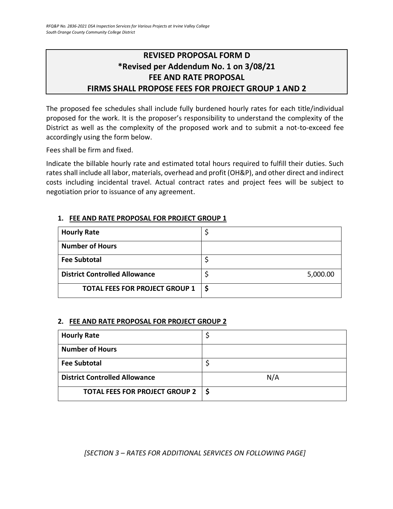# **REVISED PROPOSAL FORM D \*Revised per Addendum No. 1 on 3/08/21 FEE AND RATE PROPOSAL FIRMS SHALL PROPOSE FEES FOR PROJECT GROUP 1 AND 2**

The proposed fee schedules shall include fully burdened hourly rates for each title/individual proposed for the work. It is the proposer's responsibility to understand the complexity of the District as well as the complexity of the proposed work and to submit a not-to-exceed fee accordingly using the form below.

Fees shall be firm and fixed.

Indicate the billable hourly rate and estimated total hours required to fulfill their duties. Such rates shall include all labor, materials, overhead and profit (OH&P), and other direct and indirect costs including incidental travel. Actual contract rates and project fees will be subject to negotiation prior to issuance of any agreement.

| <b>Hourly Rate</b>                    |          |
|---------------------------------------|----------|
| <b>Number of Hours</b>                |          |
| <b>Fee Subtotal</b>                   |          |
| <b>District Controlled Allowance</b>  | 5,000.00 |
| <b>TOTAL FEES FOR PROJECT GROUP 1</b> |          |

#### **1. FEE AND RATE PROPOSAL FOR PROJECT GROUP 1**

# **2. FEE AND RATE PROPOSAL FOR PROJECT GROUP 2**

| <b>Hourly Rate</b>                   |     |
|--------------------------------------|-----|
| <b>Number of Hours</b>               |     |
| <b>Fee Subtotal</b>                  |     |
| <b>District Controlled Allowance</b> | N/A |
| TOTAL FEES FOR PROJECT GROUP 2   \$  |     |

*[SECTION 3 – RATES FOR ADDITIONAL SERVICES ON FOLLOWING PAGE]*